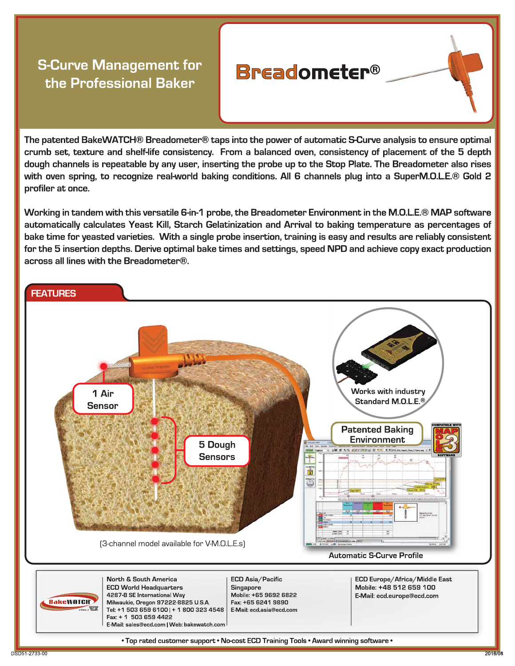## **S-Curve Management for** the Professional Baker

## The patented BakeWATCH® Breadometer® taps into the power of automatic S-Curve analysis to ensure optimal crumb set, texture and shelf-life consistency. From a balanced oven, consistency of placement of the 5 depth dough channels is repeatable by any user, inserting the probe up to the Stop Plate. The Breadometer also rises with oven spring, to recognize real-world baking conditions. All 6 channels plug into a SuperM.O.L.E.® Gold 2 profiler at once.

**Breadometer®** 

Working in tandem with this versatile 6-in-1 probe, the Breadometer Environment in the M.O.L.E.® MAP software automatically calculates Yeast Kill, Starch Gelatinization and Arrival to baking temperature as percentages of bake time for yeasted varieties. With a single probe insertion, training is easy and results are reliably consistent for the 5 insertion depths. Derive optimal bake times and settings, speed NPD and achieve copy exact production across all lines with the Breadometer®.